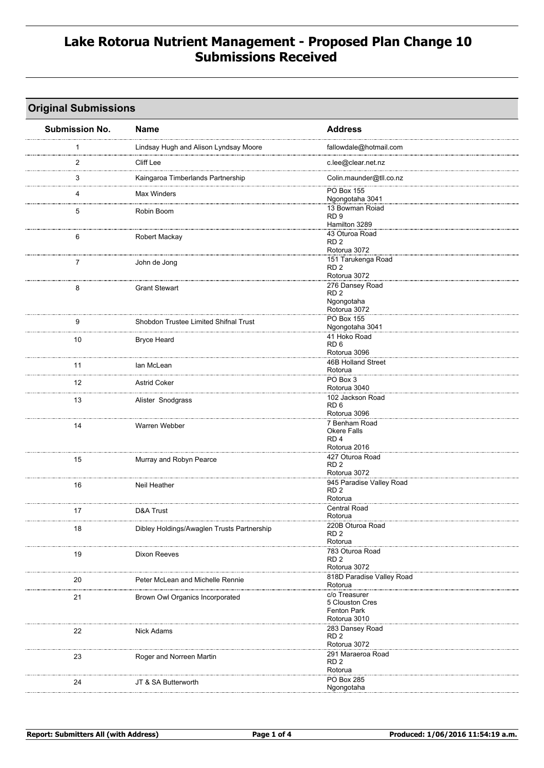### **Lake Rotorua Nutrient Management - Proposed Plan Change 10 Submissions Received**

#### **Original Submissions**

| <b>Submission No.</b> | <b>Name</b>                                | <b>Address</b>                              |
|-----------------------|--------------------------------------------|---------------------------------------------|
| 1                     | Lindsay Hugh and Alison Lyndsay Moore      | fallowdale@hotmail.com                      |
| $\overline{2}$        | Cliff Lee                                  | <br>c.lee@clear.net.nz                      |
| 3                     | Kaingaroa Timberlands Partnership          | Colin.maunder@tll.co.nz                     |
| 4                     | <b>Max Winders</b>                         | PO Box 155<br>Ngongotaha 3041               |
| 5                     | Robin Boom                                 | 13 Bowman Roiad                             |
|                       |                                            | RD <sub>9</sub><br>Hamilton 3289            |
| 6                     | Robert Mackay                              | 43 Oturoa Road<br>RD <sub>2</sub>           |
|                       |                                            | Rotorua 3072<br>151 Tarukenga Road          |
| 7                     | John de Jong                               | RD <sub>2</sub>                             |
|                       |                                            | Rotorua 3072                                |
| 8                     | <b>Grant Stewart</b>                       | 276 Dansey Road<br>RD <sub>2</sub>          |
|                       |                                            | Ngongotaha                                  |
|                       |                                            | Rotorua 3072                                |
| 9                     | Shobdon Trustee Limited Shifnal Trust      | <b>PO Box 155</b><br>Ngongotaha 3041        |
|                       |                                            | 41 Hoko Road                                |
| 10                    | <b>Bryce Heard</b>                         | RD <sub>6</sub>                             |
|                       |                                            | Rotorua 3096                                |
| 11                    | lan McLean                                 | 46B Holland Street<br>Rotorua               |
| 12                    | <b>Astrid Coker</b>                        | PO Box 3                                    |
|                       |                                            | Rotorua 3040                                |
| 13                    | Alister Snodgrass                          | 102 Jackson Road                            |
|                       |                                            | RD <sub>6</sub><br>Rotorua 3096             |
| 14                    | Warren Webber                              | 7 Benham Road                               |
|                       |                                            | Okere Falls                                 |
|                       |                                            | RD <sub>4</sub><br>Rotorua 2016             |
|                       |                                            | 427 Oturoa Road                             |
| 15                    | Murray and Robyn Pearce                    | RD <sub>2</sub>                             |
|                       |                                            | Rotorua 3072                                |
| 16                    | Neil Heather                               | 945 Paradise Valley Road<br>RD <sub>2</sub> |
|                       |                                            | Rotorua                                     |
| 17                    | D&A Trust                                  | <b>Central Road</b>                         |
|                       |                                            | Rotorua                                     |
| 18                    | Dibley Holdings/Awaglen Trusts Partnership | 220B Oturoa Road<br>RD <sub>2</sub>         |
|                       |                                            | Rotorua                                     |
| 19                    | Dixon Reeves                               | 783 Oturoa Road                             |
|                       |                                            | RD <sub>2</sub><br>Rotorua 3072             |
|                       |                                            | 818D Paradise Valley Road                   |
| 20                    | Peter McLean and Michelle Rennie           | Rotorua                                     |
| 21                    | Brown Owl Organics Incorporated            | c/o Treasurer                               |
|                       |                                            | 5 Clouston Cres<br><b>Fenton Park</b>       |
|                       |                                            | Rotorua 3010                                |
| 22                    | <b>Nick Adams</b>                          | 283 Dansey Road                             |
|                       |                                            | RD <sub>2</sub>                             |
|                       |                                            | Rotorua 3072<br>291 Maraeroa Road           |
| 23                    | Roger and Norreen Martin                   | RD <sub>2</sub>                             |
|                       |                                            | Rotorua                                     |
| 24                    | JT & SA Butterworth                        | PO Box 285                                  |
|                       |                                            | Ngongotaha                                  |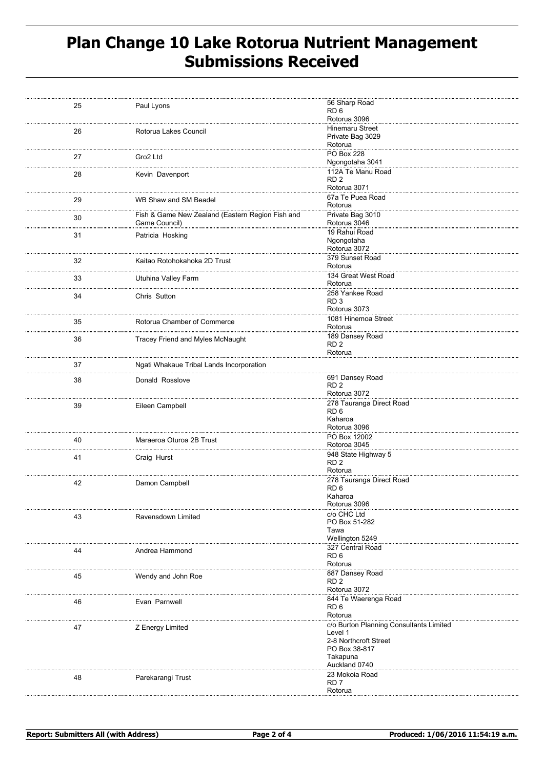# **Plan Change 10 Lake Rotorua Nutrient Management Submissions Received**

| 25 | Paul Lyons                                                        | 56 Sharp Road<br>RD <sub>6</sub><br>Rotorua 3096                                                                          |
|----|-------------------------------------------------------------------|---------------------------------------------------------------------------------------------------------------------------|
| 26 | Rotorua Lakes Council                                             | <b>Hinemaru Street</b><br>Private Bag 3029<br>Rotorua                                                                     |
| 27 | Gro2 Ltd                                                          | PO Box 228<br>Ngongotaha 3041                                                                                             |
| 28 | Kevin Davenport                                                   | 112A Te Manu Road<br>RD <sub>2</sub><br>Rotorua 3071                                                                      |
| 29 | WB Shaw and SM Beadel                                             | 67a Te Puea Road<br>Rotorua                                                                                               |
| 30 | Fish & Game New Zealand (Eastern Region Fish and<br>Game Council) | Private Bag 3010<br>Rotorua 3046                                                                                          |
| 31 | Patricia Hosking                                                  | 19 Rahui Road<br>Ngongotaha<br>Rotorua 3072                                                                               |
| 32 | Kaitao Rotohokahoka 2D Trust                                      | 379 Sunset Road<br>Rotorua                                                                                                |
| 33 | Utuhina Valley Farm                                               | 134 Great West Road<br>Rotorua                                                                                            |
| 34 | Chris Sutton                                                      | 258 Yankee Road<br>RD <sub>3</sub><br>Rotorua 3073                                                                        |
| 35 | Rotorua Chamber of Commerce                                       | 1081 Hinemoa Street<br>Rotorua                                                                                            |
| 36 | Tracey Friend and Myles McNaught                                  | 189 Dansey Road<br>RD <sub>2</sub><br>Rotorua                                                                             |
| 37 | Ngati Whakaue Tribal Lands Incorporation                          |                                                                                                                           |
| 38 | Donald Rosslove                                                   | 691 Dansey Road<br>RD <sub>2</sub><br>Rotorua 3072                                                                        |
| 39 | Eileen Campbell                                                   | 278 Tauranga Direct Road<br>RD <sub>6</sub><br>Kaharoa<br>Rotorua 3096                                                    |
| 40 | Maraeroa Oturoa 2B Trust                                          | PO Box 12002<br>Rotoroa 3045                                                                                              |
| 41 | Craig Hurst                                                       | 948 State Highway 5<br>RD <sub>2</sub><br>Rotorua                                                                         |
| 42 | Damon Campbell                                                    | 278 Tauranga Direct Road<br>RD <sub>6</sub><br>Kaharoa<br>Rotorua 3096                                                    |
| 43 | Ravensdown Limited                                                | c/o CHC Ltd<br>PO Box 51-282<br>Tawa<br>Wellington 5249                                                                   |
| 44 | Andrea Hammond                                                    | 327 Central Road<br>RD <sub>6</sub><br>Rotorua                                                                            |
| 45 | Wendy and John Roe                                                | 887 Dansey Road<br>RD <sub>2</sub><br>Rotorua 3072                                                                        |
| 46 | Evan Parnwell                                                     | 844 Te Waerenga Road<br>RD <sub>6</sub><br>Rotorua                                                                        |
| 47 | Z Energy Limited                                                  | c/o Burton Planning Consultants Limited<br>Level 1<br>2-8 Northcroft Street<br>PO Box 38-817<br>Takapuna<br>Auckland 0740 |
| 48 | Parekarangi Trust                                                 | 23 Mokoia Road<br>RD <sub>7</sub><br>Rotorua                                                                              |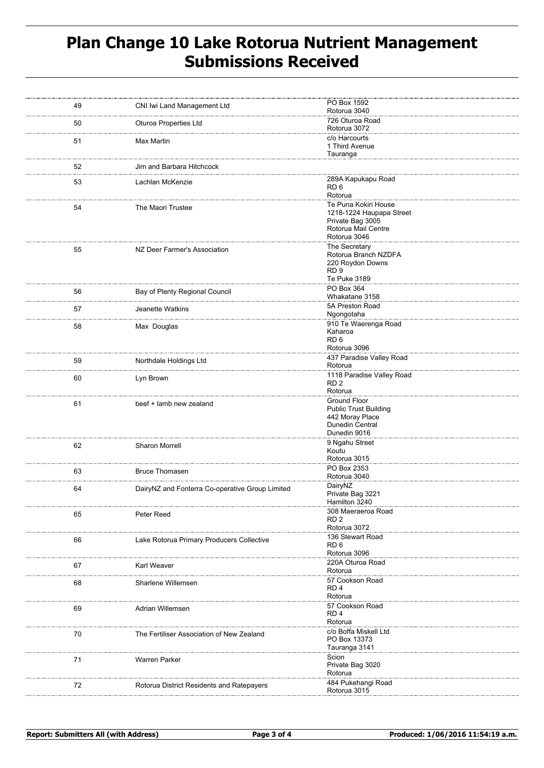# **Plan Change 10 Lake Rotorua Nutrient Management Submissions Received**

| 49 | CNI Iwi Land Management Ltd                     | PO Box 1592<br>Rotorua 3040             |
|----|-------------------------------------------------|-----------------------------------------|
| 50 | <b>Oturoa Properties Ltd</b>                    | 726 Oturoa Road<br>Rotorua 3072         |
| 51 | Max Martin                                      | c/o Harcourts                           |
|    |                                                 | 1 Third Avenue<br>Tauranga              |
| 52 | Jim and Barbara Hitchcock                       |                                         |
|    |                                                 | 289A Kapukapu Road                      |
| 53 | Lachlan McKenzie                                | RD 6                                    |
|    |                                                 | Rotorua<br>Te Puna Kokiri House         |
| 54 | The Maori Trustee                               | 1218-1224 Haupapa Street                |
|    |                                                 | Private Bag 3005<br>Rotorua Mail Centre |
|    |                                                 | Rotorua 3046                            |
| 55 | NZ Deer Farmer's Association                    | The Secretary<br>Rotorua Branch NZDFA   |
|    |                                                 | 220 Roydon Downs                        |
|    |                                                 | RD <sub>9</sub>                         |
|    |                                                 | Te Puke 3189<br>PO Box 364              |
| 56 | Bay of Plenty Regional Council                  | Whakatane 3158                          |
| 57 | Jeanette Watkins                                | 5A Preston Road                         |
|    |                                                 | Ngongotaha                              |
| 58 | Max Douglas                                     | 910 Te Waerenga Road<br>Kaharoa         |
|    |                                                 | RD <sub>6</sub>                         |
|    |                                                 | Rotorua 3096                            |
| 59 | Northdale Holdings Ltd                          | 437 Paradise Valley Road<br>Rotorua     |
| 60 | Lyn Brown                                       | 1118 Paradise Valley Road               |
|    |                                                 | RD <sub>2</sub><br>Rotorua              |
|    |                                                 | Ground Floor                            |
| 61 | beef + lamb new zealand                         | <b>Public Trust Building</b>            |
|    |                                                 | 442 Moray Place<br>Dunedin Central      |
|    |                                                 | Dunedin 9016                            |
| 62 | Sharon Morrell                                  | 9 Ngahu Street                          |
|    |                                                 | Koutu<br>Rotorua 3015                   |
| 63 | <b>Bruce Thomasen</b>                           | PO Box 2353                             |
|    |                                                 | Rotorua 3040                            |
| 64 | DairyNZ and Fonterra Co-operative Group Limited | DairyNZ<br>Private Bag 3221             |
|    |                                                 | Hamilton 3240                           |
| 65 | Peter Reed                                      | 308 Maeraeroa Road                      |
|    |                                                 | RD <sub>2</sub><br>Rotorua 3072         |
| 66 | Lake Rotorua Primary Producers Collective       | 136 Stewart Road                        |
|    |                                                 | RD <sub>6</sub><br>Rotorua 3096         |
|    |                                                 | 220A Oturoa Road                        |
| 67 | Karl Weaver<br>.                                | Rotorua                                 |
| 68 | Sharlene Willemsen                              | 57 Cookson Road<br>RD <sub>4</sub>      |
|    |                                                 | Rotorua                                 |
| 69 | Adrian Willemsen                                | 57 Cookson Road                         |
|    |                                                 | RD <sub>4</sub><br>Rotorua              |
| 70 | The Fertiliser Association of New Zealand       | c/o Boffa Miskell Ltd                   |
|    |                                                 | PO Box 13373                            |
|    |                                                 | Tauranga 3141<br>Scion                  |
| 71 | <b>Warren Parker</b>                            | Private Bag 3020                        |
|    |                                                 | Rotorua                                 |
| 72 | Rotorua District Residents and Ratepayers       | 484 Pukehangi Road<br>Rotorua 3015      |
|    |                                                 |                                         |